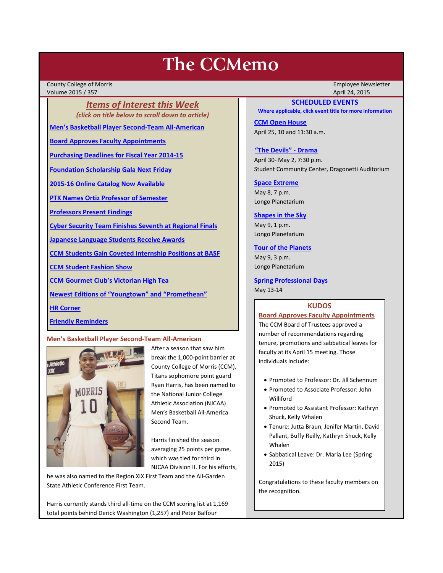# **The CCMemo**

County College of Morris Employee Newsletter Volume 2015 / 357 April 24, 2015

*Items of Interest this Week (click on title below to scroll down to article)*

**[Men's Basketball Player Second-Team All-American](#page-0-0)**

**[Board Approves Faculty Appointments](#page-0-1)**

**[Purchasing Deadlines for Fiscal Year 2014-15](#page-1-0)**

**[Foundation Scholarship Gala Next Friday](#page-1-1)**

**[2015-16 Online Catalog Now Available](#page-2-0)**

**[PTK Names Ortiz Professor of Semester](#page-1-2)**

**[Professors Present Findings](#page-1-3)** 

**[Cyber Security Team Finishes Seventh at Regional Finals](#page-2-1)** 

**[Japanese Language Students Receive Awards](#page-2-2)**

**[CCM Students Gain Coveted Internship Positions at BASF](#page-3-0)**

**[CCM Student Fashion Show](#page-4-0)**

**[CCM Gourmet Club's Victorian High Tea](#page-4-1)**

**[Newest Editions of "Youngtown" and "Promethean"](#page-4-2)**

**[HR Corner](#page-3-1)**

**[Friendly Reminders](#page-1-4)**

# <span id="page-0-0"></span>**Men's Basketball Player Second-Team All-American**



After a season that saw him break the 1,000-point barrier at County College of Morris (CCM), Titans sophomore point guard Ryan Harris, has been named to the National Junior College Athletic Association (NJCAA) Men's Basketball All-America Second Team.

Harris finished the season averaging 25 points per game, which was tied for third in NJCAA Division II. For his efforts,

he was also named to the Region XIX First Team and the All-Garden State Athletic Conference First Team.

Harris currently stands third all-time on the CCM scoring list at 1,169 total points behind Derick Washington (1,257) and Peter Balfour

## **SCHEDULED EVENTS**

**Where applicable, click event title for more information**

**[CCM Open House](http://www.ccm.edu/newsEvents/newsDetails.aspx?Channel=%2fChannels%2fSitewide&WorkflowItemID=674cd235-fa2f-49c3-a07c-ba44419ed7f6)** April 25, 10 and 11:30 a.m.

#### **["The Devils" -](http://www.ccm.edu/newsEvents/eventDetails.aspx?Channel=/Channels/Sitewide&WorkflowItemID=8dd88758-b234-42f0-abf7-34958b6a6635) Drama**

April 30- May 2, 7:30 p.m. Student Community Center, Dragonetti Auditorium

### **[Space Extreme](http://www.ccm.edu/newsEvents/eventDetails.aspx?Channel=/Channels/Sitewide&WorkflowItemID=1874a4b0-0bcb-4ed1-a29e-7b4f8d25e45d)**

May 8, 7 p.m. Longo Planetarium

## **[Shapes in the Sky](http://www.ccm.edu/newsEvents/eventDetails.aspx?Channel=/Channels/Sitewide&WorkflowItemID=1922c928-86d3-4e75-b6a2-fd618033989c)**

May 9, 1 p.m. Longo Planetarium

## **[Tour of the Planets](http://www.ccm.edu/newsEvents/eventDetails.aspx?Channel=/Channels/Sitewide&WorkflowItemID=5834aa20-68ba-4fa2-a3ac-75b2311ba441)**

May 9, 3 p.m. Longo Planetarium

**Spring Professional Days** May 13-14

#### **KUDOS**

## <span id="page-0-1"></span>**Board Approves Faculty Appointments**

The CCM Board of Trustees approved a number of recommendations regarding tenure, promotions and sabbatical leaves for faculty at its April 15 meeting. Those individuals include:

- Promoted to Professor: Dr. Jill Schennum
- Promoted to Associate Professor: John Williford
- Promoted to Assistant Professor: Kathryn Shuck, Kelly Whalen
- Tenure: Jutta Braun, Jenifer Martin, David Pallant, Buffy Reilly, Kathryn Shuck, Kelly Whalen
- Sabbatical Leave: Dr. Maria Lee (Spring 2015)

Congratulations to these faculty members on the recognition.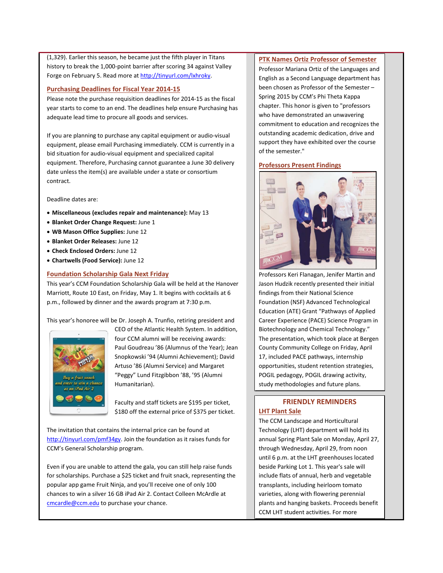(1,329). Earlier this season, he became just the fifth player in Titans history to break the 1,000-point barrier after scoring 34 against Valley Forge on February 5. Read more a[t http://tinyurl.com/lxhroky.](http://tinyurl.com/lxhroky)

# <span id="page-1-0"></span>**Purchasing Deadlines for Fiscal Year 2014-15**

Please note the purchase requisition deadlines for 2014-15 as the fiscal year starts to come to an end. The deadlines help ensure Purchasing has adequate lead time to procure all goods and services.

If you are planning to purchase any capital equipment or audio-visual equipment, please email Purchasing immediately. CCM is currently in a bid situation for audio-visual equipment and specialized capital equipment. Therefore, Purchasing cannot guarantee a June 30 delivery date unless the item(s) are available under a state or consortium contract.

Deadline dates are:

- **Miscellaneous (excludes repair and maintenance):** May 13
- **Blanket Order Change Request:** June 1
- **WB Mason Office Supplies:** June 12
- **Blanket Order Releases:** June 12
- **Check Enclosed Orders:** June 12
- **Chartwells (Food Service):** June 12

## <span id="page-1-1"></span>**Foundation Scholarship Gala Next Friday**

This year's CCM Foundation Scholarship Gala will be held at the Hanover Marriott, Route 10 East, on Friday, May 1. It begins with cocktails at 6 p.m., followed by dinner and the awards program at 7:30 p.m.

This year's honoree will be Dr. Joseph A. Trunfio, retiring president and



CEO of the Atlantic Health System. In addition, four CCM alumni will be receiving awards: Paul Goudreau '86 (Alumnus of the Year); Jean Snopkowski '94 (Alumni Achievement); David Artuso '86 (Alumni Service) and Margaret "Peggy" Lund Fitzgibbon '88, '95 (Alumni Humanitarian).

Faculty and staff tickets are \$195 per ticket, \$180 off the external price of \$375 per ticket.

The invitation that contains the internal price can be found at [http://tinyurl.com/pmf34gy.](http://tinyurl.com/pmf34gy) Join the foundation as it raises funds for CCM's General Scholarship program.

Even if you are unable to attend the gala, you can still help raise funds for scholarships. Purchase a \$25 ticket and fruit snack, representing the popular app game Fruit Ninja, and you'll receive one of only 100 chances to win a silver 16 GB iPad Air 2. Contact Colleen McArdle at [cmcardle@ccm.edu](mailto:cmcardle@ccm.edu) to purchase your chance.

# <span id="page-1-2"></span>**PTK Names Ortiz Professor of Semester**

Professor Mariana Ortiz of the Languages and English as a Second Language department has been chosen as Professor of the Semester – Spring 2015 by CCM's Phi Theta Kappa chapter. This honor is given to "professors who have demonstrated an unwavering commitment to education and recognizes the outstanding academic dedication, drive and support they have exhibited over the course of the semester."

# <span id="page-1-3"></span>**Professors Present Findings**



Professors Keri Flanagan, Jenifer Martin and Jason Hudzik recently presented their initial findings from their National Science Foundation (NSF) Advanced Technological Education (ATE) Grant "Pathways of Applied Career Experience (PACE) Science Program in Biotechnology and Chemical Technology." The presentation, which took place at Bergen County Community College on Friday, April 17, included PACE pathways, internship opportunities, student retention strategies, POGIL pedagogy, POGIL drawing activity, study methodologies and future plans.

# <span id="page-1-4"></span>**FRIENDLY REMINDERS LHT Plant Sale**

The CCM Landscape and Horticultural Technology (LHT) department will hold its annual Spring Plant Sale on Monday, April 27, through Wednesday, April 29, from noon until 6 p.m. at the LHT greenhouses located beside Parking Lot 1. This year's sale will include flats of annual, herb and vegetable transplants, including heirloom tomato varieties, along with flowering perennial plants and hanging baskets. Proceeds benefit CCM LHT student activities. For more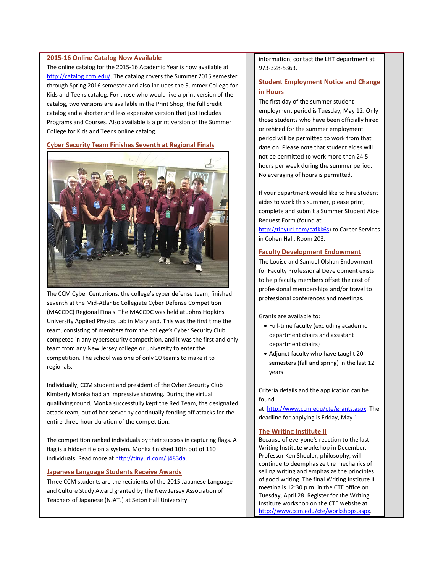# <span id="page-2-0"></span>**2015-16 Online Catalog Now Available**

The online catalog for the 2015-16 Academic Year is now available at [http://catalog.ccm.edu/.](http://catalog.ccm.edu/) The catalog covers the Summer 2015 semester through Spring 2016 semester and also includes the Summer College for Kids and Teens catalog. For those who would like a print version of the catalog, two versions are available in the Print Shop, the full credit catalog and a shorter and less expensive version that just includes Programs and Courses. Also available is a print version of the Summer College for Kids and Teens online catalog.

# <span id="page-2-1"></span>**Cyber Security Team Finishes Seventh at Regional Finals**



The CCM Cyber Centurions, the college's cyber defense team, finished seventh at the Mid-Atlantic Collegiate Cyber Defense Competition (MACCDC) Regional Finals. The MACCDC was held at Johns Hopkins University Applied Physics Lab in Maryland. This was the first time the team, consisting of members from the college's Cyber Security Club, competed in any cybersecurity competition, and it was the first and only team from any New Jersey college or university to enter the competition. The school was one of only 10 teams to make it to regionals.

Individually, CCM student and president of the Cyber Security Club Kimberly Monka had an impressive showing. During the virtual qualifying round, Monka successfully kept the Red Team, the designated attack team, out of her server by continually fending off attacks for the entire three-hour duration of the competition.

The competition ranked individuals by their success in capturing flags. A flag is a hidden file on a system. Monka finished 10th out of 110 individuals. Read more a[t http://tinyurl.com/lj483da.](http://tinyurl.com/lj483da)

## <span id="page-2-2"></span>**Japanese Language Students Receive Awards**

Three CCM students are the recipients of the 2015 Japanese Language and Culture Study Award granted by the New Jersey Association of Teachers of Japanese (NJATJ) at Seton Hall University.

information, contact the LHT department at 973-328-5363.

# **Student Employment Notice and Change in Hours**

The first day of the summer student employment period is Tuesday, May 12. Only those students who have been officially hired or rehired for the summer employment period will be permitted to work from that date on. Please note that student aides will not be permitted to work more than 24.5 hours per week during the summer period. No averaging of hours is permitted.

If your department would like to hire student aides to work this summer, please print, complete and submit a Summer Student Aide Request Form (found at [http://tinyurl.com/cafkk6s\)](http://tinyurl.com/cafkk6s) to Career Services in Cohen Hall, Room 203.

## **Faculty Development Endowment**

The Louise and Samuel Olshan Endowment for Faculty Professional Development exists to help faculty members offset the cost of professional memberships and/or travel to professional conferences and meetings.

Grants are available to:

- Full-time faculty (excluding academic department chairs and assistant department chairs)
- Adjunct faculty who have taught 20 semesters (fall and spring) in the last 12 years

Criteria details and the application can be found

at [http://www.ccm.edu/cte/grants.aspx.](http://www.ccm.edu/cte/grants.aspx) The deadline for applying is Friday, May 1.

#### **The Writing Institute II**

Because of everyone's reaction to the last Writing Institute workshop in December, Professor Ken Shouler, philosophy, will continue to deemphasize the mechanics of selling writing and emphasize the principles of good writing. The final Writing Institute II meeting is 12:30 p.m. in the CTE office on Tuesday, April 28. Register for the Writing Institute workshop on the CTE website at [http://www.ccm.edu/cte/workshops.aspx.](http://www.ccm.edu/cte/workshops.aspx)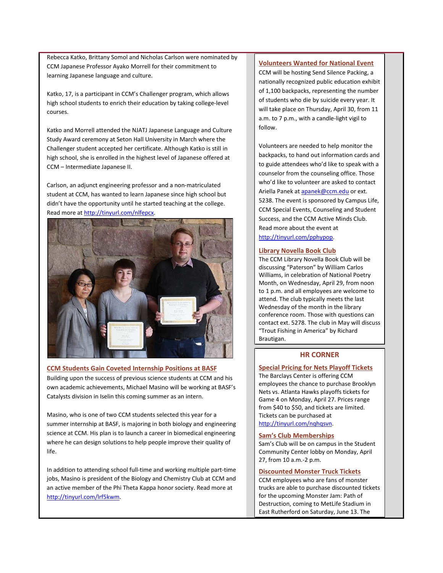Rebecca Katko, Brittany Somol and Nicholas Carlson were nominated by CCM Japanese Professor Ayako Morrell for their commitment to learning Japanese language and culture.

Katko, 17, is a participant in CCM's Challenger program, which allows high school students to enrich their education by taking college-level courses.

Katko and Morrell attended the NJATJ Japanese Language and Culture Study Award ceremony at Seton Hall University in March where the Challenger student accepted her certificate. Although Katko is still in high school, she is enrolled in the highest level of Japanese offered at CCM – Intermediate Japanese II.

Carlson, an adjunct engineering professor and a non-matriculated student at CCM, has wanted to learn Japanese since high school but didn't have the opportunity until he started teaching at the college. Read more a[t http://tinyurl.com/nlfepcx.](http://tinyurl.com/nlfepcx)



# <span id="page-3-0"></span>**CCM Students Gain Coveted Internship Positions at BASF**

Building upon the success of previous science students at CCM and his own academic achievements, Michael Masino will be working at BASF's Catalysts division in Iselin this coming summer as an intern.

Masino, who is one of two CCM students selected this year for a summer internship at BASF, is majoring in both biology and engineering science at CCM. His plan is to launch a career in biomedical engineering where he can design solutions to help people improve their quality of life.

In addition to attending school full-time and working multiple part-time jobs, Masino is president of the Biology and Chemistry Club at CCM and an active member of the Phi Theta Kappa honor society. Read more at [http://tinyurl.com/lrf5kwm.](http://tinyurl.com/lrf5kwm)

## **Volunteers Wanted for National Event**

CCM will be hosting Send Silence Packing, a nationally recognized public education exhibit of 1,100 backpacks, representing the number of students who die by suicide every year. It will take place on Thursday, April 30, from 11 a.m. to 7 p.m., with a candle-light vigil to follow.

Volunteers are needed to help monitor the backpacks, to hand out information cards and to guide attendees who'd like to speak with a counselor from the counseling office. Those who'd like to volunteer are asked to contact Ariella Panek a[t apanek@ccm.edu](mailto:apanek@ccm.edu) or ext. 5238. The event is sponsored by Campus Life, CCM Special Events, Counseling and Student Success, and the CCM Active Minds Club. Read more about the event at

[http://tinyurl.com/pphypop.](http://tinyurl.com/pphypop)

## **Library Novella Book Club**

The CCM Library Novella Book Club will be discussing "Paterson" by William Carlos Williams, in celebration of National Poetry Month, on Wednesday, April 29, from noon to 1 p.m. and all employees are welcome to attend. The club typically meets the last Wednesday of the month in the library conference room. Those with questions can contact ext. 5278. The club in May will discuss "Trout Fishing in America" by Richard Brautigan.

# **HR CORNER**

## <span id="page-3-1"></span>**Special Pricing for Nets Playoff Tickets**

The Barclays Center is offering CCM employees the chance to purchase Brooklyn Nets vs. Atlanta Hawks playoffs tickets for Game 4 on Monday, April 27. Prices range from \$40 to \$50, and tickets are limited. Tickets can be purchased at [http://tinyurl.com/nqhqsvn.](http://tinyurl.com/nqhqsvn)

## **Sam's Club Memberships**

Sam's Club will be on campus in the Student Community Center lobby on Monday, April 27, from 10 a.m.-2 p.m.

## **Discounted Monster Truck Tickets**

CCM employees who are fans of monster trucks are able to purchase discounted tickets for the upcoming Monster Jam: Path of Destruction, coming to MetLife Stadium in East Rutherford on Saturday, June 13. The